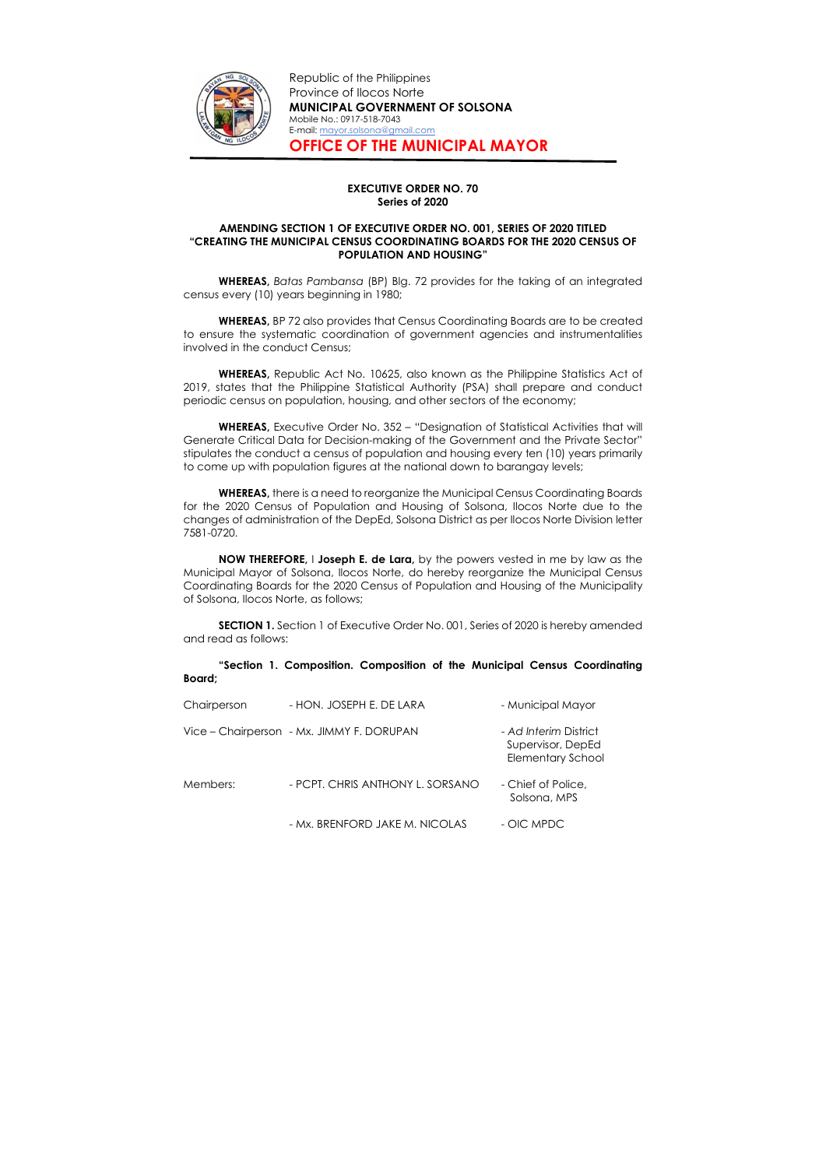

Republic of the Philippines Province of Ilocos Norte MUNICIPAL GOVERNMENT OF SOLSONA Mobile No.: 0917-518-7043 E-mail: mayor.solsona@gmail.com OFFICE OF THE MUNICIPAL MAYOR

## EXECUTIVE ORDER NO. 70 Series of 2020

## AMENDING SECTION 1 OF EXECUTIVE ORDER NO. 001, SERIES OF 2020 TITLED "CREATING THE MUNICIPAL CENSUS COORDINATING BOARDS FOR THE 2020 CENSUS OF POPULATION AND HOUSING"

WHEREAS, Batas Pambansa (BP) Blg. 72 provides for the taking of an integrated census every (10) years beginning in 1980;

WHEREAS, BP 72 also provides that Census Coordinating Boards are to be created to ensure the systematic coordination of government agencies and instrumentalities involved in the conduct Census;

WHEREAS, Executive Order No. 352 - "Designation of Statistical Activities that will Generate Critical Data for Decision-making of the Government and the Private Sector" stipulates the conduct a census of population and housing every ten (10) years primarily to come up with population figures at the national down to barangay levels;

WHEREAS, Republic Act No. 10625, also known as the Philippine Statistics Act of 2019, states that the Philippine Statistical Authority (PSA) shall prepare and conduct periodic census on population, housing, and other sectors of the economy;

WHEREAS, there is a need to reorganize the Municipal Census Coordinating Boards for the 2020 Census of Population and Housing of Solsona, Ilocos Norte due to the changes of administration of the DepEd, Solsona District as per Ilocos Norte Division letter 7581-0720.

NOW THEREFORE, I Joseph E. de Lara, by the powers vested in me by law as the Municipal Mayor of Solsona, Ilocos Norte, do hereby reorganize the Municipal Census Coordinating Boards for the 2020 Census of Population and Housing of the Municipality of Solsona, Ilocos Norte, as follows;

SECTION 1. Section 1 of Executive Order No. 001, Series of 2020 is hereby amended and read as follows:

"Section 1. Composition. Composition of the Municipal Census Coordinating Board;

| Chairperson | - HON. JOSEPH E. DE LARA                  | - Municipal Mayor                                                      |
|-------------|-------------------------------------------|------------------------------------------------------------------------|
|             | Vice - Chairperson - Mx. JIMMY F. DORUPAN | - Ad Interim District<br>Supervisor, DepEd<br><b>Elementary School</b> |
| Members:    | - PCPT. CHRIS ANTHONY L. SORSANO          | - Chief of Police,<br>Solsona, MPS                                     |
|             | - Mx. BRENFORD JAKE M. NICOLAS            | - OIC MPDC                                                             |